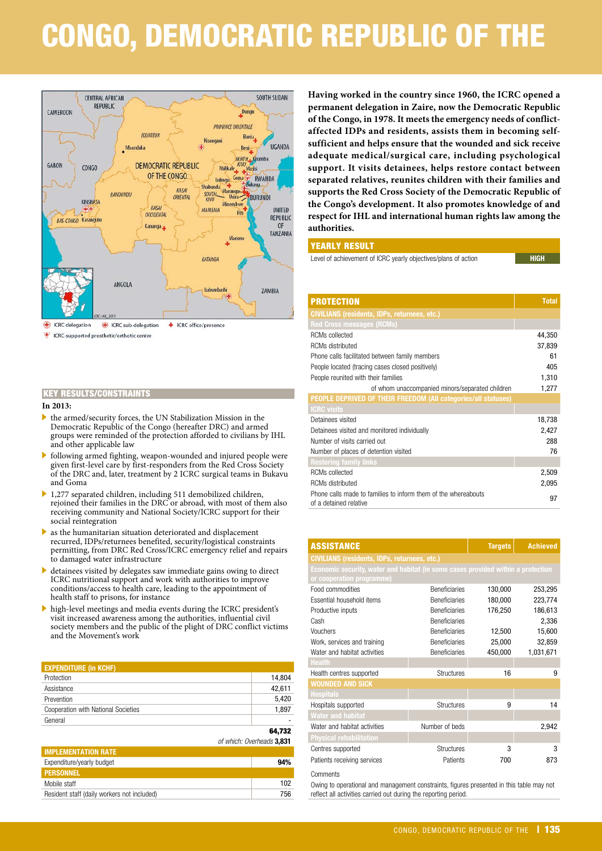# CONGO, DEMOCRATIC REPUBLIC OF THE



 $\mathbf{F}$ ICRC-supported prosthetic/orthotic centre

#### **In 2013:**

- . the armed/security forces, the UN Stabilization Mission in the Democratic Republic of the Congo (hereafter DRC) and armed groups were reminded of the protection afforded to civilians by IHL and other applicable law
- . following armed fighting, weapon-wounded and injured people were given first-level care by first-responders from the Red Cross Society of the DRC and, later, treatment by 2 ICRC surgical teams in Bukavu and Goma
- . 1,277 separated children, including 511 demobilized children, rejoined their families in the DRC or abroad, with most of them also receiving community and National Society/ICRC support for their social reintegration
- as the humanitarian situation deteriorated and displacement recurred, IDPs/returnees benefited, security/logistical constraints permitting, from DRC Red Cross/ICRC emergency relief and repairs to damaged water infrastructure
- $\blacktriangleright$  detainees visited by delegates saw immediate gains owing to direct ICRC nutritional support and work with authorities to improve conditions/access to health care, leading to the appointment of health staff to prisons, for instance
- . high-level meetings and media events during the ICRC president's visit increased awareness among the authorities, influential civil society members and the public of the plight of DRC conflict victims and the Movement's work

| <b>EXPENDITURE (in KCHF)</b>        |        |
|-------------------------------------|--------|
| Protection                          | 14,804 |
| Assistance                          | 42,611 |
| Prevention                          | 5,420  |
| Cooperation with National Societies | 1,897  |
| General                             |        |
|                                     | 64,732 |
| of which: Overheads 3.831           |        |

| 94% |
|-----|
|     |
| 102 |
| 756 |
|     |

**Having worked in the country since 1960, the ICRC opened a permanent delegation in Zaire, now the Democratic Republic of the Congo, in 1978. It meets the emergency needs of conflictaffected IDPs and residents, assists them in becoming selfsufficient and helps ensure that the wounded and sick receive adequate medical/surgical care, including psychological support. It visits detainees, helps restore contact between separated relatives, reunites children with their families and supports the Red Cross Society of the Democratic Republic of the Congo's development. It also promotes knowledge of and respect for IHL and international human rights law among the authorities.**

#### YEARLY RESULT

| Level of achievement of ICRC yearly objectives/plans of action | <b>HIGH</b> |
|----------------------------------------------------------------|-------------|

| <b>PROTECTION</b>                                                                        | <b>Total</b> |
|------------------------------------------------------------------------------------------|--------------|
| <b>CIVILIANS (residents, IDPs, returnees, etc.)</b>                                      |              |
| <b>Red Cross messages (RCMs)</b>                                                         |              |
| <b>RCMs</b> collected                                                                    | 44,350       |
| <b>RCMs distributed</b>                                                                  | 37,839       |
| Phone calls facilitated between family members                                           | 61           |
| People located (tracing cases closed positively)                                         | 405          |
| People reunited with their families                                                      | 1,310        |
| of whom unaccompanied minors/separated children                                          | 1,277        |
| <b>PEOPLE DEPRIVED OF THEIR FREEDOM (All categories/all statuses)</b>                    |              |
| <b>ICRC</b> visits                                                                       |              |
| Detainees visited                                                                        | 18,738       |
| Detainees visited and monitored individually                                             | 2,427        |
| Number of visits carried out                                                             | 288          |
| Number of places of detention visited                                                    | 76           |
| <b>Restoring family links</b>                                                            |              |
| <b>RCMs</b> collected                                                                    | 2,509        |
| <b>RCMs distributed</b>                                                                  | 2,095        |
| Phone calls made to families to inform them of the whereabouts<br>of a detained relative | 97           |

| KEY RESULTS/CONSTRAINTS                                                                                                                                                                                                          |                           |                                                                                                               | or writer andooompamoa minororooparatoa omiaror |                |                 |
|----------------------------------------------------------------------------------------------------------------------------------------------------------------------------------------------------------------------------------|---------------------------|---------------------------------------------------------------------------------------------------------------|-------------------------------------------------|----------------|-----------------|
| In 2013:                                                                                                                                                                                                                         |                           | PEOPLE DEPRIVED OF THEIR FREEDOM (All categories/all statuses)                                                |                                                 |                |                 |
| the armed/security forces, the UN Stabilization Mission in the<br>Democratic Republic of the Congo (hereafter DRC) and armed                                                                                                     |                           | <b>ICRC visits</b><br>Detainees visited<br>Detainees visited and monitored individually                       | 18,738<br>2,427                                 |                |                 |
| groups were reminded of the protection afforded to civilians by IHL<br>and other applicable law                                                                                                                                  |                           | Number of visits carried out                                                                                  | 288                                             |                |                 |
| following armed fighting, weapon-wounded and injured people were                                                                                                                                                                 |                           | Number of places of detention visited                                                                         |                                                 |                | 76              |
| given first-level care by first-responders from the Red Cross Society                                                                                                                                                            |                           | <b>Restoring family links</b>                                                                                 |                                                 |                |                 |
| of the DRC and, later, treatment by 2 ICRC surgical teams in Bukavu                                                                                                                                                              |                           | <b>RCMs</b> collected                                                                                         |                                                 |                | 2,509           |
| and Goma                                                                                                                                                                                                                         |                           | RCMs distributed                                                                                              | 2,095                                           |                |                 |
| 1,277 separated children, including 511 demobilized children,<br>rejoined their families in the DRC or abroad, with most of them also<br>receiving community and National Society/ICRC support for their<br>social reintegration |                           | Phone calls made to families to inform them of the whereabouts<br>97<br>of a detained relative                |                                                 |                |                 |
| as the humanitarian situation deteriorated and displacement                                                                                                                                                                      |                           |                                                                                                               |                                                 |                |                 |
| recurred, IDPs/returnees benefited, security/logistical constraints<br>permitting, from DRC Red Cross/ICRC emergency relief and repairs                                                                                          |                           | <b>ASSISTANCE</b>                                                                                             |                                                 | <b>Targets</b> | <b>Achieved</b> |
| to damaged water infrastructure                                                                                                                                                                                                  |                           | <b>CIVILIANS (residents, IDPs, returnees, etc.)</b>                                                           |                                                 |                |                 |
| detainees visited by delegates saw immediate gains owing to direct<br>ICRC nutritional support and work with authorities to improve                                                                                              |                           | Economic security, water and habitat (in some cases provided within a protection<br>or cooperation programme) |                                                 |                |                 |
| conditions/access to health care, leading to the appointment of                                                                                                                                                                  |                           | Food commodities                                                                                              | Beneficiaries                                   | 130,000        | 253,295         |
| health staff to prisons, for instance                                                                                                                                                                                            |                           | Essential household items                                                                                     | <b>Beneficiaries</b>                            | 180,000        | 223,774         |
| high-level meetings and media events during the ICRC president's                                                                                                                                                                 |                           | Productive inputs                                                                                             | <b>Beneficiaries</b>                            | 176.250        | 186,613         |
| visit increased awareness among the authorities, influential civil                                                                                                                                                               |                           | Cash                                                                                                          | <b>Beneficiaries</b>                            |                | 2,336           |
| society members and the public of the plight of DRC conflict victims                                                                                                                                                             |                           | Vouchers                                                                                                      | <b>Beneficiaries</b>                            | 12,500         | 15,600          |
| and the Movement's work                                                                                                                                                                                                          |                           | Work, services and training                                                                                   | Beneficiaries                                   | 25,000         | 32,859          |
|                                                                                                                                                                                                                                  |                           | Water and habitat activities                                                                                  | <b>Beneficiaries</b>                            | 450,000        | 1,031,671       |
|                                                                                                                                                                                                                                  |                           | <b>Health</b>                                                                                                 |                                                 |                |                 |
| <b>EXPENDITURE (in KCHF)</b><br>Protection                                                                                                                                                                                       | 14,804                    | Health centres supported                                                                                      | <b>Structures</b>                               | 16             | 9               |
| Assistance                                                                                                                                                                                                                       | 42,611                    | <b>WOUNDED AND SICK</b>                                                                                       |                                                 |                |                 |
| Prevention                                                                                                                                                                                                                       | 5,420                     | <b>Hospitals</b>                                                                                              |                                                 |                |                 |
| Cooperation with National Societies                                                                                                                                                                                              | 1,897                     | Hospitals supported                                                                                           | Structures                                      | 9              | 14              |
| General                                                                                                                                                                                                                          |                           | <b>Water and habitat</b>                                                                                      |                                                 |                |                 |
|                                                                                                                                                                                                                                  | 64,732                    | Water and habitat activities                                                                                  | Number of beds                                  |                | 2,942           |
|                                                                                                                                                                                                                                  | of which: Overheads 3,831 | <b>Physical rehabilitation</b>                                                                                |                                                 |                |                 |
| <b>IMPLEMENTATION RATE</b>                                                                                                                                                                                                       |                           | Centres supported                                                                                             | <b>Structures</b>                               | 3              | 3               |
| Expenditure/yearly budget                                                                                                                                                                                                        | 94%                       | Patients receiving services                                                                                   | Patients                                        | 700            | 873             |
| <b>PERSONNEL</b>                                                                                                                                                                                                                 |                           | Comments                                                                                                      |                                                 |                |                 |
| Mobile staff                                                                                                                                                                                                                     | 102                       | Owing to operational and management constraints, figures presented in this table may not                      |                                                 |                |                 |
| Resident staff (daily workers not included)                                                                                                                                                                                      | 756                       | reflect all activities carried out during the reporting period.                                               |                                                 |                |                 |
|                                                                                                                                                                                                                                  |                           |                                                                                                               | CONGO, DEMOCRATIC REPUBLIC OF THE   135         |                |                 |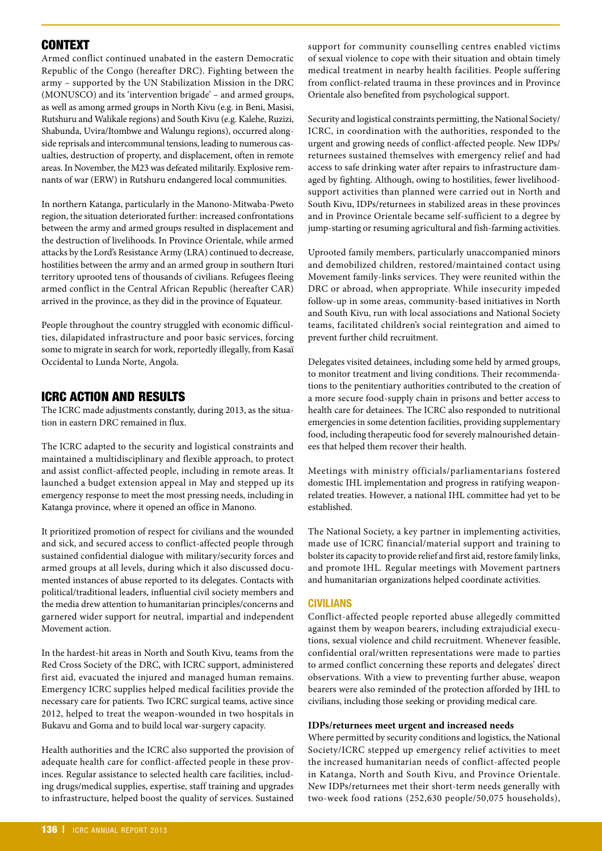# **CONTEXT**

Armed conflict continued unabated in the eastern Democratic Republic of the Congo (hereafter DRC). Fighting between the army – supported by the UN Stabilization Mission in the DRC (MONUSCO) and its 'intervention brigade' – and armed groups, as well as among armed groups in North Kivu (e.g. in Beni, Masisi, Rutshuru and Walikale regions) and South Kivu (e.g. Kalehe, Ruzizi, Shabunda, Uvira/Itombwe and Walungu regions), occurred alongside reprisals and intercommunal tensions, leading to numerous casualties, destruction of property, and displacement, often in remote areas. In November, the M23 was defeated militarily. Explosive remnants of war (ERW) in Rutshuru endangered local communities.

In northern Katanga, particularly in the Manono-Mitwaba-Pweto region, the situation deteriorated further: increased confrontations between the army and armed groups resulted in displacement and the destruction of livelihoods. In Province Orientale, while armed attacks by the Lord's Resistance Army (LRA) continued to decrease, hostilities between the army and an armed group in southern Ituri territory uprooted tens of thousands of civilians. Refugees fleeing armed conflict in the Central African Republic (hereafter CAR) arrived in the province, as they did in the province of Equateur.

People throughout the country struggled with economic difficulties, dilapidated infrastructure and poor basic services, forcing some to migrate in search for work, reportedly illegally, from Kasaï Occidental to Lunda Norte, Angola.

# ICRC ACTION AND RESULTS

The ICRC made adjustments constantly, during 2013, as the situation in eastern DRC remained in flux.

The ICRC adapted to the security and logistical constraints and maintained a multidisciplinary and flexible approach, to protect and assist conflict-affected people, including in remote areas. It launched a budget extension appeal in May and stepped up its emergency response to meet the most pressing needs, including in Katanga province, where it opened an office in Manono.

It prioritized promotion of respect for civilians and the wounded and sick, and secured access to conflict-affected people through sustained confidential dialogue with military/security forces and armed groups at all levels, during which it also discussed documented instances of abuse reported to its delegates. Contacts with political/traditional leaders, influential civil society members and the media drew attention to humanitarian principles/concerns and garnered wider support for neutral, impartial and independent Movement action.

In the hardest-hit areas in North and South Kivu, teams from the Red Cross Society of the DRC, with ICRC support, administered first aid, evacuated the injured and managed human remains. Emergency ICRC supplies helped medical facilities provide the necessary care for patients. Two ICRC surgical teams, active since 2012, helped to treat the weapon-wounded in two hospitals in Bukavu and Goma and to build local war-surgery capacity.

Health authorities and the ICRC also supported the provision of adequate health care for conflict-affected people in these provinces. Regular assistance to selected health care facilities, including drugs/medical supplies, expertise, staff training and upgrades to infrastructure, helped boost the quality of services. Sustained

support for community counselling centres enabled victims of sexual violence to cope with their situation and obtain timely medical treatment in nearby health facilities. People suffering from conflict-related trauma in these provinces and in Province Orientale also benefited from psychological support.

Security and logistical constraints permitting, the National Society/ ICRC, in coordination with the authorities, responded to the urgent and growing needs of conflict-affected people. New IDPs/ returnees sustained themselves with emergency relief and had access to safe drinking water after repairs to infrastructure damaged by fighting. Although, owing to hostilities, fewer livelihoodsupport activities than planned were carried out in North and South Kivu, IDPs/returnees in stabilized areas in these provinces and in Province Orientale became self-sufficient to a degree by jump-starting or resuming agricultural and fish-farming activities.

Uprooted family members, particularly unaccompanied minors and demobilized children, restored/maintained contact using Movement family-links services. They were reunited within the DRC or abroad, when appropriate. While insecurity impeded follow-up in some areas, community-based initiatives in North and South Kivu, run with local associations and National Society teams, facilitated children's social reintegration and aimed to prevent further child recruitment.

Delegates visited detainees, including some held by armed groups, to monitor treatment and living conditions. Their recommendations to the penitentiary authorities contributed to the creation of a more secure food-supply chain in prisons and better access to health care for detainees. The ICRC also responded to nutritional emergencies in some detention facilities, providing supplementary food, including therapeutic food for severely malnourished detainees that helped them recover their health.

Meetings with ministry officials/parliamentarians fostered domestic IHL implementation and progress in ratifying weaponrelated treaties. However, a national IHL committee had yet to be established.

The National Society, a key partner in implementing activities, made use of ICRC financial/material support and training to bolster its capacity to provide relief and first aid, restore family links, and promote IHL. Regular meetings with Movement partners and humanitarian organizations helped coordinate activities.

# **CIVILIANS**

Conflict-affected people reported abuse allegedly committed against them by weapon bearers, including extrajudicial executions, sexual violence and child recruitment. Whenever feasible, confidential oral/written representations were made to parties to armed conflict concerning these reports and delegates' direct observations. With a view to preventing further abuse, weapon bearers were also reminded of the protection afforded by IHL to civilians, including those seeking or providing medical care.

# **IDPs/returnees meet urgent and increased needs**

Where permitted by security conditions and logistics, the National Society/ICRC stepped up emergency relief activities to meet the increased humanitarian needs of conflict-affected people in Katanga, North and South Kivu, and Province Orientale. New IDPs/returnees met their short-term needs generally with two-week food rations (252,630 people/50,075 households),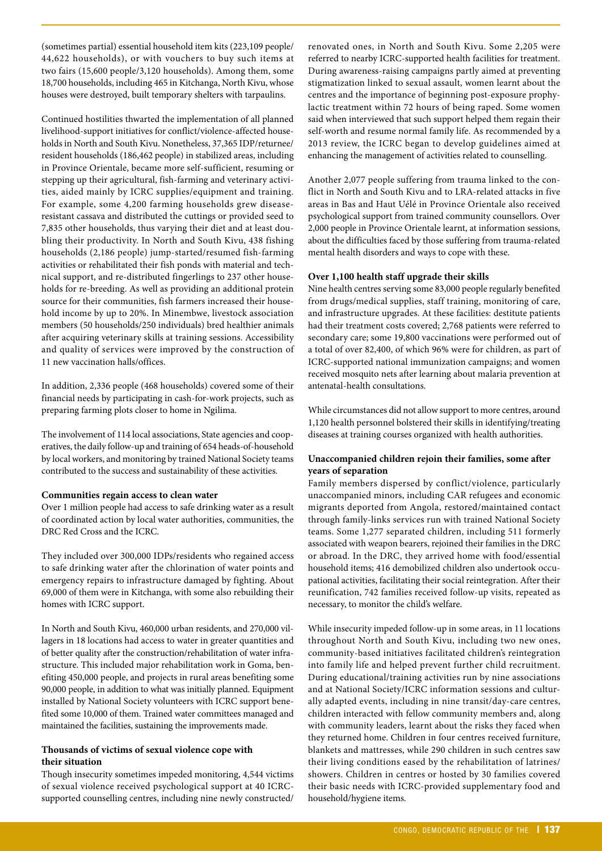(sometimes partial) essential household item kits (223,109 people/ 44,622 households), or with vouchers to buy such items at two fairs (15,600 people/3,120 households). Among them, some 18,700 households, including 465 in Kitchanga, North Kivu, whose houses were destroyed, built temporary shelters with tarpaulins.

Continued hostilities thwarted the implementation of all planned livelihood-support initiatives for conflict/violence-affected households in North and South Kivu. Nonetheless, 37,365 IDP/returnee/ resident households (186,462 people) in stabilized areas, including in Province Orientale, became more self-sufficient, resuming or stepping up their agricultural, fish-farming and veterinary activities, aided mainly by ICRC supplies/equipment and training. For example, some 4,200 farming households grew diseaseresistant cassava and distributed the cuttings or provided seed to 7,835 other households, thus varying their diet and at least doubling their productivity. In North and South Kivu, 438 fishing households (2,186 people) jump-started/resumed fish-farming activities or rehabilitated their fish ponds with material and technical support, and re-distributed fingerlings to 237 other households for re-breeding. As well as providing an additional protein source for their communities, fish farmers increased their household income by up to 20%. In Minembwe, livestock association members (50 households/250 individuals) bred healthier animals after acquiring veterinary skills at training sessions. Accessibility and quality of services were improved by the construction of 11 new vaccination halls/offices.

In addition, 2,336 people (468 households) covered some of their financial needs by participating in cash-for-work projects, such as preparing farming plots closer to home in Ngilima.

The involvement of 114 local associations, State agencies and cooperatives, the daily follow-up and training of 654 heads-of-household by local workers, and monitoring by trained National Society teams contributed to the success and sustainability of these activities.

#### **Communities regain access to clean water**

Over 1 million people had access to safe drinking water as a result of coordinated action by local water authorities, communities, the DRC Red Cross and the ICRC.

They included over 300,000 IDPs/residents who regained access to safe drinking water after the chlorination of water points and emergency repairs to infrastructure damaged by fighting. About 69,000 of them were in Kitchanga, with some also rebuilding their homes with ICRC support.

In North and South Kivu, 460,000 urban residents, and 270,000 villagers in 18 locations had access to water in greater quantities and of better quality after the construction/rehabilitation of water infrastructure. This included major rehabilitation work in Goma, benefiting 450,000 people, and projects in rural areas benefiting some 90,000 people, in addition to what was initially planned. Equipment installed by National Society volunteers with ICRC support benefited some 10,000 of them. Trained water committees managed and maintained the facilities, sustaining the improvements made.

# **Thousands of victims of sexual violence cope with their situation**

Though insecurity sometimes impeded monitoring, 4,544 victims of sexual violence received psychological support at 40 ICRCsupported counselling centres, including nine newly constructed/ renovated ones, in North and South Kivu. Some 2,205 were referred to nearby ICRC-supported health facilities for treatment. During awareness-raising campaigns partly aimed at preventing stigmatization linked to sexual assault, women learnt about the centres and the importance of beginning post-exposure prophylactic treatment within 72 hours of being raped. Some women said when interviewed that such support helped them regain their self-worth and resume normal family life. As recommended by a 2013 review, the ICRC began to develop guidelines aimed at enhancing the management of activities related to counselling.

Another 2,077 people suffering from trauma linked to the conflict in North and South Kivu and to LRA-related attacks in five areas in Bas and Haut Uélé in Province Orientale also received psychological support from trained community counsellors. Over 2,000 people in Province Orientale learnt, at information sessions, about the difficulties faced by those suffering from trauma-related mental health disorders and ways to cope with these.

# **Over 1,100 health staff upgrade their skills**

Nine health centres serving some 83,000 people regularly benefited from drugs/medical supplies, staff training, monitoring of care, and infrastructure upgrades. At these facilities: destitute patients had their treatment costs covered; 2,768 patients were referred to secondary care; some 19,800 vaccinations were performed out of a total of over 82,400, of which 96% were for children, as part of ICRC-supported national immunization campaigns; and women received mosquito nets after learning about malaria prevention at antenatal-health consultations.

While circumstances did not allow support to more centres, around 1,120 health personnel bolstered their skills in identifying/treating diseases at training courses organized with health authorities.

# **Unaccompanied children rejoin their families, some after years of separation**

Family members dispersed by conflict/violence, particularly unaccompanied minors, including CAR refugees and economic migrants deported from Angola, restored/maintained contact through family-links services run with trained National Society teams. Some 1,277 separated children, including 511 formerly associated with weapon bearers, rejoined their families in the DRC or abroad. In the DRC, they arrived home with food/essential household items; 416 demobilized children also undertook occupational activities, facilitating their social reintegration. After their reunification, 742 families received follow-up visits, repeated as necessary, to monitor the child's welfare.

While insecurity impeded follow-up in some areas, in 11 locations throughout North and South Kivu, including two new ones, community-based initiatives facilitated children's reintegration into family life and helped prevent further child recruitment. During educational/training activities run by nine associations and at National Society/ICRC information sessions and culturally adapted events, including in nine transit/day-care centres, children interacted with fellow community members and, along with community leaders, learnt about the risks they faced when they returned home. Children in four centres received furniture, blankets and mattresses, while 290 children in such centres saw their living conditions eased by the rehabilitation of latrines/ showers. Children in centres or hosted by 30 families covered their basic needs with ICRC-provided supplementary food and household/hygiene items.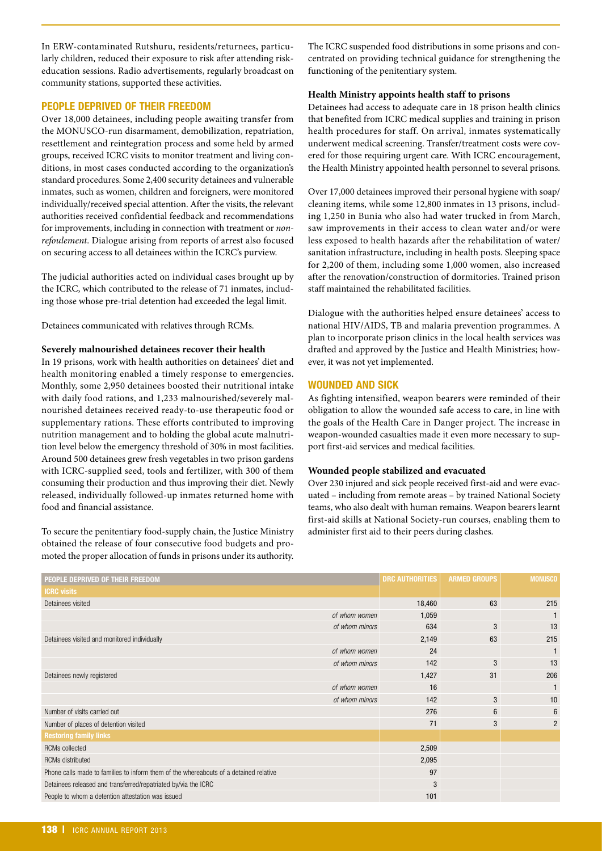In ERW-contaminated Rutshuru, residents/returnees, particularly children, reduced their exposure to risk after attending riskeducation sessions. Radio advertisements, regularly broadcast on community stations, supported these activities.

# **PEOPLE DEPRIVED OF THEIR FREEDOM**

Over 18,000 detainees, including people awaiting transfer from the MONUSCO-run disarmament, demobilization, repatriation, resettlement and reintegration process and some held by armed groups, received ICRC visits to monitor treatment and living conditions, in most cases conducted according to the organization's standard procedures. Some 2,400 security detainees and vulnerable inmates, such as women, children and foreigners, were monitored individually/received special attention. After the visits, the relevant authorities received confidential feedback and recommendations for improvements, including in connection with treatment or *nonrefoulement*. Dialogue arising from reports of arrest also focused on securing access to all detainees within the ICRC's purview.

The judicial authorities acted on individual cases brought up by the ICRC, which contributed to the release of 71 inmates, including those whose pre-trial detention had exceeded the legal limit.

Detainees communicated with relatives through RCMs.

#### **Severely malnourished detainees recover their health**

In 19 prisons, work with health authorities on detainees' diet and health monitoring enabled a timely response to emergencies. Monthly, some 2,950 detainees boosted their nutritional intake with daily food rations, and 1,233 malnourished/severely malnourished detainees received ready-to-use therapeutic food or supplementary rations. These efforts contributed to improving nutrition management and to holding the global acute malnutrition level below the emergency threshold of 30% in most facilities. Around 500 detainees grew fresh vegetables in two prison gardens with ICRC-supplied seed, tools and fertilizer, with 300 of them consuming their production and thus improving their diet. Newly released, individually followed-up inmates returned home with food and financial assistance.

To secure the penitentiary food-supply chain, the Justice Ministry obtained the release of four consecutive food budgets and promoted the proper allocation of funds in prisons under its authority. The ICRC suspended food distributions in some prisons and concentrated on providing technical guidance for strengthening the functioning of the penitentiary system.

### **Health Ministry appoints health staff to prisons**

Detainees had access to adequate care in 18 prison health clinics that benefited from ICRC medical supplies and training in prison health procedures for staff. On arrival, inmates systematically underwent medical screening. Transfer/treatment costs were covered for those requiring urgent care. With ICRC encouragement, the Health Ministry appointed health personnel to several prisons.

Over 17,000 detainees improved their personal hygiene with soap/ cleaning items, while some 12,800 inmates in 13 prisons, including 1,250 in Bunia who also had water trucked in from March, saw improvements in their access to clean water and/or were less exposed to health hazards after the rehabilitation of water/ sanitation infrastructure, including in health posts. Sleeping space for 2,200 of them, including some 1,000 women, also increased after the renovation/construction of dormitories. Trained prison staff maintained the rehabilitated facilities.

Dialogue with the authorities helped ensure detainees' access to national HIV/AIDS, TB and malaria prevention programmes. A plan to incorporate prison clinics in the local health services was drafted and approved by the Justice and Health Ministries; however, it was not yet implemented.

#### **WOUNDED AND SICK**

As fighting intensified, weapon bearers were reminded of their obligation to allow the wounded safe access to care, in line with the goals of the Health Care in Danger project. The increase in weapon-wounded casualties made it even more necessary to support first-aid services and medical facilities.

#### **Wounded people stabilized and evacuated**

Over 230 injured and sick people received first-aid and were evacuated – including from remote areas – by trained National Society teams, who also dealt with human remains. Weapon bearers learnt first-aid skills at National Society-run courses, enabling them to administer first aid to their peers during clashes.

| PEOPLE DEPRIVED OF THEIR FREEDOM                                                      |                | <b>DRC AUTHORITIES</b> | <b>ARMED GROUPS</b> | <b>MONUSCO</b> |
|---------------------------------------------------------------------------------------|----------------|------------------------|---------------------|----------------|
| <b>ICRC visits</b>                                                                    |                |                        |                     |                |
| Detainees visited                                                                     |                | 18,460                 | 63                  | 215            |
|                                                                                       | of whom women  | 1,059                  |                     |                |
|                                                                                       | of whom minors | 634                    | 3                   | 13             |
| Detainees visited and monitored individually                                          |                | 2,149                  | 63                  | 215            |
|                                                                                       | of whom women  | 24                     |                     | $\mathbf{1}$   |
|                                                                                       | of whom minors | 142                    | 3                   | 13             |
| Detainees newly registered                                                            |                | 1,427                  | 31                  | 206            |
|                                                                                       | of whom women  | 16                     |                     |                |
|                                                                                       | of whom minors | 142                    | 3                   | 10             |
| Number of visits carried out                                                          |                | 276                    | 6                   | 6              |
| Number of places of detention visited                                                 |                | 71                     | 3                   | $\overline{2}$ |
| <b>Restoring family links</b>                                                         |                |                        |                     |                |
| <b>RCMs</b> collected                                                                 |                | 2,509                  |                     |                |
| <b>RCMs distributed</b>                                                               |                | 2,095                  |                     |                |
| Phone calls made to families to inform them of the whereabouts of a detained relative |                | 97                     |                     |                |
| Detainees released and transferred/repatriated by/via the ICRC                        |                | 3                      |                     |                |
| People to whom a detention attestation was issued                                     |                | 101                    |                     |                |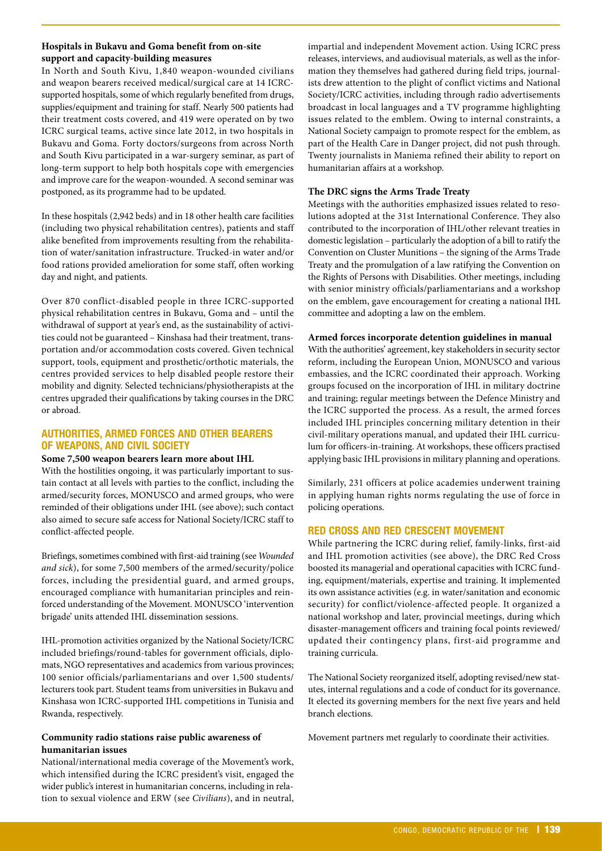# **Hospitals in Bukavu and Goma benefit from on-site support and capacity-building measures**

In North and South Kivu, 1,840 weapon-wounded civilians and weapon bearers received medical/surgical care at 14 ICRCsupported hospitals, some of which regularly benefited from drugs, supplies/equipment and training for staff. Nearly 500 patients had their treatment costs covered, and 419 were operated on by two ICRC surgical teams, active since late 2012, in two hospitals in Bukavu and Goma. Forty doctors/surgeons from across North and South Kivu participated in a war-surgery seminar, as part of long-term support to help both hospitals cope with emergencies and improve care for the weapon-wounded. A second seminar was postponed, as its programme had to be updated.

In these hospitals (2,942 beds) and in 18 other health care facilities (including two physical rehabilitation centres), patients and staff alike benefited from improvements resulting from the rehabilitation of water/sanitation infrastructure. Trucked-in water and/or food rations provided amelioration for some staff, often working day and night, and patients.

Over 870 conflict-disabled people in three ICRC-supported physical rehabilitation centres in Bukavu, Goma and – until the withdrawal of support at year's end, as the sustainability of activities could not be guaranteed – Kinshasa had their treatment, transportation and/or accommodation costs covered. Given technical support, tools, equipment and prosthetic/orthotic materials, the centres provided services to help disabled people restore their mobility and dignity. Selected technicians/physiotherapists at the centres upgraded their qualifications by taking courses in the DRC or abroad.

# **AUTHORITIES, ARMED FORCES AND OTHER BEARERS OF WEAPONS, AND CIVIL SOCIETY**

# **Some 7,500 weapon bearers learn more about IHL**

With the hostilities ongoing, it was particularly important to sustain contact at all levels with parties to the conflict, including the armed/security forces, MONUSCO and armed groups, who were reminded of their obligations under IHL (see above); such contact also aimed to secure safe access for National Society/ICRC staff to conflict-affected people.

Briefings, sometimes combined with first-aid training (see *Wounded and sick*), for some 7,500 members of the armed/security/police forces, including the presidential guard, and armed groups, encouraged compliance with humanitarian principles and reinforced understanding of the Movement. MONUSCO 'intervention brigade' units attended IHL dissemination sessions.

IHL-promotion activities organized by the National Society/ICRC included briefings/round-tables for government officials, diplomats, NGO representatives and academics from various provinces; 100 senior officials/parliamentarians and over 1,500 students/ lecturers took part. Student teams from universities in Bukavu and Kinshasa won ICRC-supported IHL competitions in Tunisia and Rwanda, respectively.

# **Community radio stations raise public awareness of humanitarian issues**

National/international media coverage of the Movement's work, which intensified during the ICRC president's visit, engaged the wider public's interest in humanitarian concerns, including in relation to sexual violence and ERW (see *Civilians*), and in neutral, impartial and independent Movement action. Using ICRC press releases, interviews, and audiovisual materials, as well as the information they themselves had gathered during field trips, journalists drew attention to the plight of conflict victims and National Society/ICRC activities, including through radio advertisements broadcast in local languages and a TV programme highlighting issues related to the emblem. Owing to internal constraints, a National Society campaign to promote respect for the emblem, as part of the Health Care in Danger project, did not push through. Twenty journalists in Maniema refined their ability to report on humanitarian affairs at a workshop.

# **The DRC signs the Arms Trade Treaty**

Meetings with the authorities emphasized issues related to resolutions adopted at the 31st International Conference. They also contributed to the incorporation of IHL/other relevant treaties in domestic legislation – particularly the adoption of a bill to ratify the Convention on Cluster Munitions – the signing of the Arms Trade Treaty and the promulgation of a law ratifying the Convention on the Rights of Persons with Disabilities. Other meetings, including with senior ministry officials/parliamentarians and a workshop on the emblem, gave encouragement for creating a national IHL committee and adopting a law on the emblem.

# **Armed forces incorporate detention guidelines in manual**

With the authorities' agreement, key stakeholders in security sector reform, including the European Union, MONUSCO and various embassies, and the ICRC coordinated their approach. Working groups focused on the incorporation of IHL in military doctrine and training; regular meetings between the Defence Ministry and the ICRC supported the process. As a result, the armed forces included IHL principles concerning military detention in their civil-military operations manual, and updated their IHL curriculum for officers-in-training. At workshops, these officers practised applying basic IHL provisions in military planning and operations.

Similarly, 231 officers at police academies underwent training in applying human rights norms regulating the use of force in policing operations.

# **RED CROSS AND RED CRESCENT MOVEMENT**

While partnering the ICRC during relief, family-links, first-aid and IHL promotion activities (see above), the DRC Red Cross boosted its managerial and operational capacities with ICRC funding, equipment/materials, expertise and training. It implemented its own assistance activities (e.g. in water/sanitation and economic security) for conflict/violence-affected people. It organized a national workshop and later, provincial meetings, during which disaster-management officers and training focal points reviewed/ updated their contingency plans, first-aid programme and training curricula.

The National Society reorganized itself, adopting revised/new statutes, internal regulations and a code of conduct for its governance. It elected its governing members for the next five years and held branch elections.

Movement partners met regularly to coordinate their activities.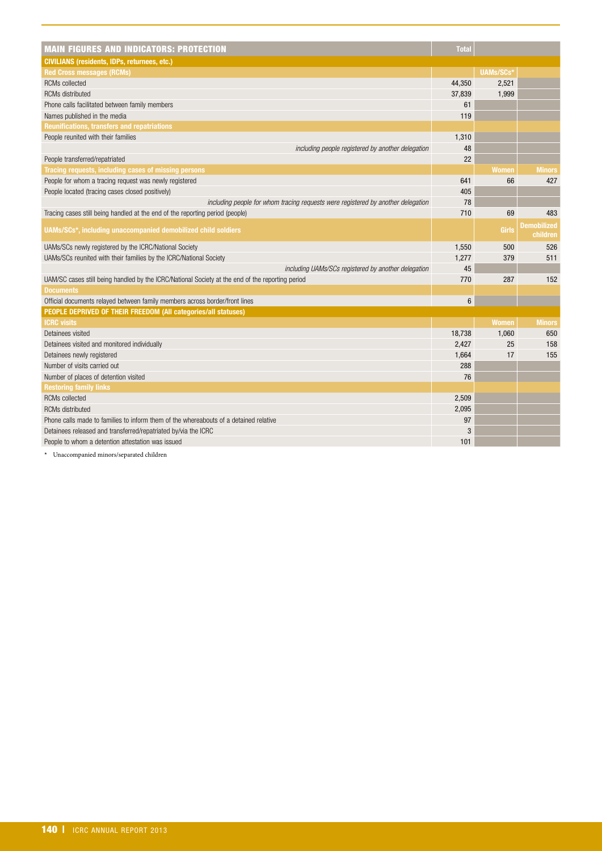| <b>MAIN FIGURES AND INDICATORS: PROTECTION</b>                                                   | <b>Total</b>    |              |                                |
|--------------------------------------------------------------------------------------------------|-----------------|--------------|--------------------------------|
| <b>CIVILIANS (residents, IDPs, returnees, etc.)</b>                                              |                 |              |                                |
| <b>Red Cross messages (RCMs)</b>                                                                 |                 | UAMs/SCs*    |                                |
| <b>RCMs</b> collected                                                                            | 44,350          | 2,521        |                                |
| <b>RCMs</b> distributed                                                                          | 37,839          | 1,999        |                                |
| Phone calls facilitated between family members                                                   | 61              |              |                                |
| Names published in the media                                                                     | 119             |              |                                |
| <b>Reunifications, transfers and repatriations</b>                                               |                 |              |                                |
| People reunited with their families                                                              | 1,310           |              |                                |
| including people registered by another delegation                                                | 48              |              |                                |
| People transferred/repatriated                                                                   | 22              |              |                                |
| Tracing requests, including cases of missing persons                                             |                 | <b>Women</b> | <b>Minors</b>                  |
| People for whom a tracing request was newly registered                                           | 641             | 66           | 427                            |
| People located (tracing cases closed positively)                                                 | 405             |              |                                |
| including people for whom tracing requests were registered by another delegation                 | 78              |              |                                |
| Tracing cases still being handled at the end of the reporting period (people)                    | 710             | 69           | 483                            |
| UAMs/SCs*, including unaccompanied demobilized child soldiers                                    |                 | Girls        | <b>Demobilized</b><br>children |
| UAMs/SCs newly registered by the ICRC/National Society                                           | 1,550           | 500          | 526                            |
| UAMs/SCs reunited with their families by the ICRC/National Society                               | 1,277           | 379          | 511                            |
| including UAMs/SCs registered by another delegation                                              | 45              |              |                                |
| UAM/SC cases still being handled by the ICRC/National Society at the end of the reporting period | 770             | 287          | 152                            |
| <b>Documents</b>                                                                                 |                 |              |                                |
| Official documents relayed between family members across border/front lines                      | $6\phantom{1}6$ |              |                                |
| PEOPLE DEPRIVED OF THEIR FREEDOM (All categories/all statuses)                                   |                 |              |                                |
| <b>ICRC</b> visits                                                                               |                 | <b>Women</b> | <b>Minors</b>                  |
| Detainees visited                                                                                | 18,738          | 1,060        | 650                            |
| Detainees visited and monitored individually                                                     | 2,427           | 25           | 158                            |
| Detainees newly registered                                                                       | 1,664           | 17           | 155                            |
| Number of visits carried out                                                                     | 288             |              |                                |
| Number of places of detention visited                                                            | 76              |              |                                |
| <b>Restoring family links</b>                                                                    |                 |              |                                |
| <b>RCMs</b> collected                                                                            | 2,509           |              |                                |
| <b>RCMs distributed</b>                                                                          | 2,095           |              |                                |
| Phone calls made to families to inform them of the whereabouts of a detained relative            | 97              |              |                                |
| Detainees released and transferred/repatriated by/via the ICRC                                   | 3               |              |                                |
| People to whom a detention attestation was issued                                                | 101             |              |                                |

**\*** Unaccompanied minors/separated children